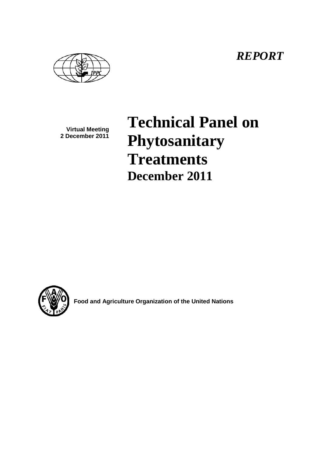*REPORT*

**Virtual Meeting 2 December 2011**

# **Technical Panel on Phytosanitary Treatments December 2011**



**Food and Agriculture Organization of the United Nations**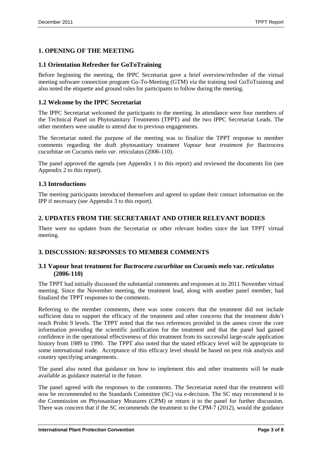# **1. OPENING OF THE MEETING**

#### **1.1 Orientation Refresher for GoToTraining**

Before beginning the meeting, the IPPC Secretariat gave a brief overview/refresher of the virtual meeting software connection program Go-To-Meeting (GTM) via the training tool GoToTraining and also noted the etiquette and ground rules for participants to follow during the meeting.

## **1.2 Welcome by the IPPC Secretariat**

The IPPC Secretariat welcomed the participants to the meeting. In attendance were four members of the Technical Panel on Phytosanitary Treatments (TPPT) and the two IPPC Secretariat Leads. The other members were unable to attend due to previous engagements.

The Secretariat noted the purpose of the meeting was to finalize the TPPT response to member comments regarding the draft phytosanitary treatment *Vapour heat treatment for* Bactrocera cucurbitae *on* Cucumis melo *var.* reticulatus (2006-110).

The panel approved the agenda (see Appendix 1 to this report) and reviewed the documents list (see Appendix 2 to this report).

#### **1.3 Introductions**

The meeting participants introduced themselves and agreed to update their contact information on the IPP if necessary (see Appendix 3 to this report).

# **2. UPDATES FROM THE SECRETARIAT AND OTHER RELEVANT BODIES**

There were no updates from the Secretariat or other relevant bodies since the last TPPT virtual meeting.

# **3. DISCUSSION: RESPONSES TO MEMBER COMMENTS**

#### **3.1 Vapour heat treatment for** *Bactrocera cucurbitae* **on** *Cucumis melo* **var.** *reticulatus* **(2006-110)**

The TPPT had initially discussed the substantial comments and responses at its 2011 November virtual meeting. Since the November meeting, the treatment lead, along with another panel member, had finalized the TPPT responses to the comments.

Referring to the member comments, there was some concern that the treatment did not include sufficient data to support the efficacy of the treatment and other concerns that the treatment didn't reach Probit 9 levels. The TPPT noted that the two references provided in the annex cover the core information providing the scientific justification for the treatment and that the panel had gained confidence in the operational effectiveness of this treatment from its successful large-scale application history from 1989 to 1990. The TPPT also noted that the stated efficacy level will be appropriate to some international trade. Acceptance of this efficacy level should be based on pest risk analysis and country specifying arrangements.

The panel also noted that guidance on how to implement this and other treatments will be made available as guidance material in the future.

The panel agreed with the responses to the comments. The Secretariat noted that the treatment will now be recommended to the Standards Committee (SC) via e-decision. The SC may recommend it to the Commission on Phytosanitary Measures (CPM) or return it to the panel for further discussion. There was concern that if the SC recommends the treatment to the CPM-7 (2012), would the guidance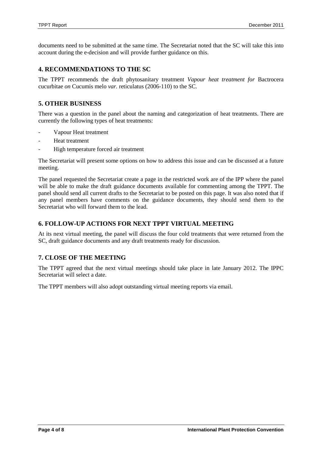documents need to be submitted at the same time. The Secretariat noted that the SC will take this into account during the e-decision and will provide further guidance on this.

#### **4. RECOMMENDATIONS TO THE SC**

The TPPT recommends the draft phytosanitary treatment *Vapour heat treatment for* Bactrocera cucurbitae *on* Cucumis melo *var.* reticulatus (2006-110) to the SC.

## **5. OTHER BUSINESS**

There was a question in the panel about the naming and categorization of heat treatments. There are currently the following types of heat treatments:

- Vapour Heat treatment
- Heat treatment
- High temperature forced air treatment

The Secretariat will present some options on how to address this issue and can be discussed at a future meeting.

The panel requested the Secretariat create a page in the restricted work are of the IPP where the panel will be able to make the draft guidance documents available for commenting among the TPPT. The panel should send all current drafts to the Secretariat to be posted on this page. It was also noted that if any panel members have comments on the guidance documents, they should send them to the Secretariat who will forward them to the lead.

# **6. FOLLOW-UP ACTIONS FOR NEXT TPPT VIRTUAL MEETING**

At its next virtual meeting, the panel will discuss the four cold treatments that were returned from the SC, draft guidance documents and any draft treatments ready for discussion.

#### **7. CLOSE OF THE MEETING**

The TPPT agreed that the next virtual meetings should take place in late January 2012. The IPPC Secretariat will select a date.

The TPPT members will also adopt outstanding virtual meeting reports via email.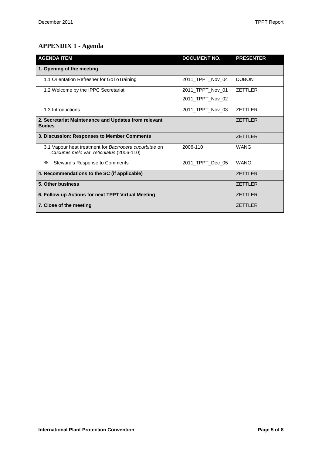# **APPENDIX 1 - Agenda**

| <b>AGENDA ITEM</b>                                                                                 | <b>DOCUMENT NO.</b> | <b>PRESENTER</b> |
|----------------------------------------------------------------------------------------------------|---------------------|------------------|
| 1. Opening of the meeting                                                                          |                     |                  |
| 1.1 Orientation Refresher for GoToTraining                                                         | 2011 TPPT Nov 04    | <b>DUBON</b>     |
| 1.2 Welcome by the IPPC Secretariat                                                                | 2011 TPPT Nov 01    | <b>ZETTLER</b>   |
|                                                                                                    | 2011_TPPT_Nov_02    |                  |
| 1.3 Introductions                                                                                  | 2011_TPPT_Nov_03    | <b>ZETTLER</b>   |
| 2. Secretariat Maintenance and Updates from relevant<br><b>Bodies</b>                              |                     | <b>ZETTLER</b>   |
| 3. Discussion: Responses to Member Comments                                                        |                     | <b>ZETTLER</b>   |
| 3.1 Vapour heat treatment for Bactrocera cucurbitae on<br>Cucumis melo var. reticulatus (2006-110) | 2006-110            | <b>WANG</b>      |
| Steward's Response to Comments<br>❖                                                                | 2011_TPPT_Dec_05    | <b>WANG</b>      |
| 4. Recommendations to the SC (if applicable)                                                       |                     | <b>ZETTLER</b>   |
| 5. Other business                                                                                  |                     | <b>ZETTLER</b>   |
| 6. Follow-up Actions for next TPPT Virtual Meeting                                                 |                     | <b>ZETTLER</b>   |
| 7. Close of the meeting                                                                            |                     | <b>ZETTLER</b>   |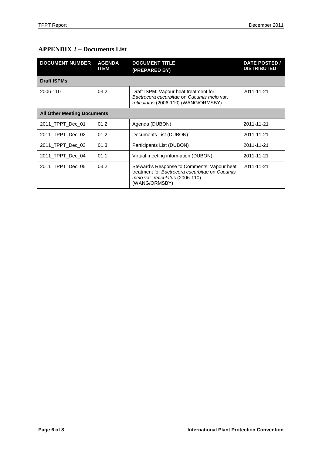# **APPENDIX 2 – Documents List**

| <b>DOCUMENT NUMBER</b>             | <b>AGENDA</b><br><b>ITEM</b> | <b>DOCUMENT TITLE</b><br>(PREPARED BY)                                                                                                             | <b>DATE POSTED /</b><br><b>DISTRIBUTED</b> |  |
|------------------------------------|------------------------------|----------------------------------------------------------------------------------------------------------------------------------------------------|--------------------------------------------|--|
| <b>Draft ISPMs</b>                 |                              |                                                                                                                                                    |                                            |  |
| 2006-110                           | 03.2                         | Draft ISPM: Vapour heat treatment for<br>Bactrocera cucurbitae on Cucumis melo var.<br>reticulatus (2006-110) (WANG/ORMSBY)                        | 2011-11-21                                 |  |
| <b>All Other Meeting Documents</b> |                              |                                                                                                                                                    |                                            |  |
| 2011 TPPT Dec 01                   | 01.2                         | Agenda (DUBON)                                                                                                                                     | 2011-11-21                                 |  |
| 2011 TPPT Dec 02                   | 01.2                         | Documents List (DUBON)                                                                                                                             | 2011-11-21                                 |  |
| 2011_TPPT_Dec_03                   | 01.3                         | Participants List (DUBON)                                                                                                                          | 2011-11-21                                 |  |
| 2011 TPPT Dec 04                   | 01.1                         | Virtual meeting information (DUBON)                                                                                                                | 2011-11-21                                 |  |
| 2011 TPPT Dec 05                   | 03.2                         | Steward's Response to Comments: Vapour heat<br>treatment for Bactrocera cucurbitae on Cucumis<br>melo var. reticulatus (2006-110)<br>(WANG/ORMSBY) | 2011-11-21                                 |  |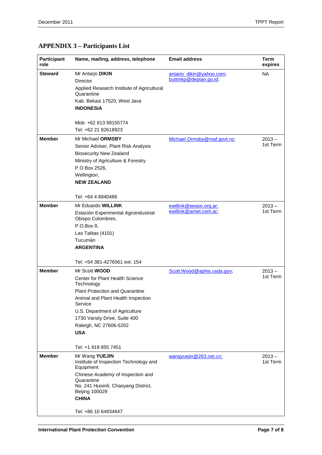# **APPENDIX 3 – Participants List**

| <b>Participant</b><br>role | Name, mailing, address, telephone                                                                                                                                                                                                                                                                   | <b>Email address</b>                              | <b>Term</b><br>expires |
|----------------------------|-----------------------------------------------------------------------------------------------------------------------------------------------------------------------------------------------------------------------------------------------------------------------------------------------------|---------------------------------------------------|------------------------|
| Steward                    | Mr Antarjo DIKIN<br>Director<br>Applied Research Institute of Agricultural<br>Quarantine<br>Kab. Bekasi 17520, West Java<br><b>INDONESIA</b><br>Mob: +62 813 99155774<br>Tel: +62 21 82618923                                                                                                       | antario dikin@yahoo.com;<br>buttmkp@deptan.go.id; | <b>NA</b>              |
| <b>Member</b>              | Mr Michael ORMSBY<br>Senior Adviser, Plant Risk Analysis<br><b>Biosecurity New Zealand</b><br>Ministry of Agriculture & Forestry<br>P.O Box 2526,<br>Wellington,<br><b>NEW ZEALAND</b><br>Tel: +64 4 8940486                                                                                        | Michael.Ormsby@maf.govt.nz;                       | $2013 -$<br>1st Term   |
| <b>Member</b>              | Mr Eduardo WILLINK<br>Estación Experimental Agroindustrial<br>Obispo Colombres,<br>P.O.Box 9,<br>Las Talitas (4101)<br>Tucumán<br><b>ARGENTINA</b><br>Tel: +54 381-4276561 ext. 154                                                                                                                 | ewillink@eeaoc.org.ar;<br>ewillink@arnet.com.ar;  | $2013 -$<br>1st Term   |
| <b>Member</b>              | Mr Scott <b>WOOD</b><br>Center for Plant Health Science<br>Technology<br><b>Plant Protection and Quarantine</b><br>Animal and Plant Health Inspection<br>Service<br>U.S. Department of Agriculture<br>1730 Varsity Drive, Suite 400<br>Raleigh, NC 27606-5202<br><b>USA</b><br>Tel: +1 919 855 7451 | Scott.Wood@aphis.usda.gov;                        | $2013 -$<br>1st Term   |
| <b>Member</b>              | Mr Wang YUEJIN<br>Institute of Inspection Technology and<br>Equipment<br>Chinese Academy of Inspection and<br>Quarantine<br>No. 241 Huixinli, Chaoyang District,<br><b>Beijing 100029</b><br><b>CHINA</b><br>Tel: +86 10 64934647                                                                   | wangyuejin@263.net.cn;                            | $2013 -$<br>1st Term   |